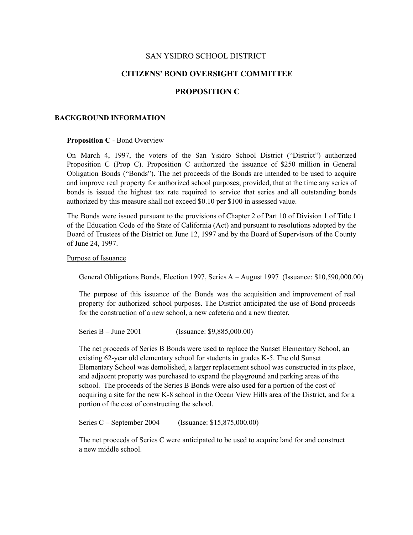# SAN YSIDRO SCHOOL DISTRICT

# **CITIZENS' BOND OVERSIGHT COMMITTEE**

### **PROPOSITION C**

#### **BACKGROUND INFORMATION**

#### **Proposition C** - Bond Overview

On March 4, 1997, the voters of the San Ysidro School District ("District") authorized Proposition C (Prop C). Proposition C authorized the issuance of \$250 million in General Obligation Bonds ("Bonds"). The net proceeds of the Bonds are intended to be used to acquire and improve real property for authorized school purposes; provided, that at the time any series of bonds is issued the highest tax rate required to service that series and all outstanding bonds authorized by this measure shall not exceed \$0.10 per \$100 in assessed value.

The Bonds were issued pursuant to the provisions of Chapter 2 of Part 10 of Division 1 of Title 1 of the Education Code of the State of California (Act) and pursuant to resolutions adopted by the Board of Trustees of the District on June 12, 1997 and by the Board of Supervisors of the County of June 24, 1997.

### Purpose of Issuance

General Obligations Bonds, Election 1997, Series A – August 1997 (Issuance: \$10,590,000.00)

The purpose of this issuance of the Bonds was the acquisition and improvement of real property for authorized school purposes. The District anticipated the use of Bond proceeds for the construction of a new school, a new cafeteria and a new theater.

Series B – June 2001 (Issuance: \$9,885,000.00)

The net proceeds of Series B Bonds were used to replace the Sunset Elementary School, an existing 62-year old elementary school for students in grades K-5. The old Sunset Elementary School was demolished, a larger replacement school was constructed in its place, and adjacent property was purchased to expand the playground and parking areas of the school. The proceeds of the Series B Bonds were also used for a portion of the cost of acquiring a site for the new K-8 school in the Ocean View Hills area of the District, and for a portion of the cost of constructing the school.

Series C – September 2004 (Issuance: \$15,875,000.00)

The net proceeds of Series C were anticipated to be used to acquire land for and construct a new middle school.